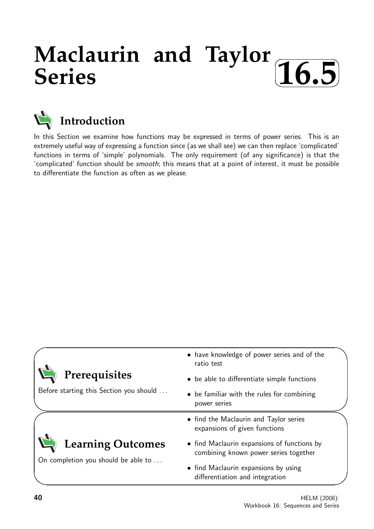## **Maclaurin and Taylor Series**  $\sqrt{2}$ ✒ **16.5**✑



In this Section we examine how functions may be expressed in terms of power series. This is an extremely useful way of expressing a function since (as we shall see) we can then replace 'complicated' functions in terms of 'simple' polynomials. The only requirement (of any significance) is that the 'complicated' function should be smooth; this means that at a point of interest, it must be possible to differentiate the function as often as we please.

|                                         | • have knowledge of power series and of the<br>ratio test                            |  |  |
|-----------------------------------------|--------------------------------------------------------------------------------------|--|--|
| Prerequisites                           | • be able to differentiate simple functions                                          |  |  |
| Before starting this Section you should | • be familiar with the rules for combining<br>power series                           |  |  |
|                                         | • find the Maclaurin and Taylor series<br>expansions of given functions              |  |  |
| <b>Learning Outcomes</b>                | • find Maclaurin expansions of functions by<br>combining known power series together |  |  |
| On completion you should be able to     | • find Maclaurin expansions by using<br>differentiation and integration              |  |  |

 $\overline{\phantom{0}}$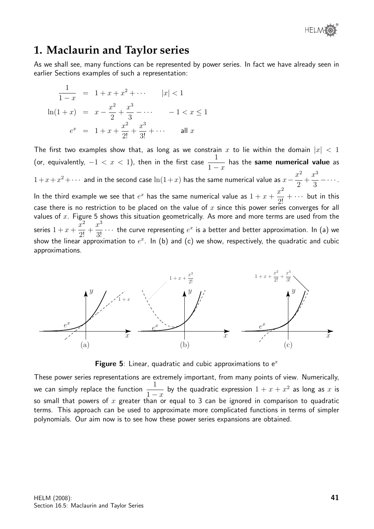

# **1. Maclaurin and Taylor series**

As we shall see, many functions can be represented by power series. In fact we have already seen in earlier Sections examples of such a representation:

$$
\frac{1}{1-x} = 1 + x + x^2 + \cdots \qquad |x| < 1
$$
  
\n
$$
\ln(1+x) = x - \frac{x^2}{2} + \frac{x^3}{3} - \cdots -1 < x \le 1
$$
  
\n
$$
e^x = 1 + x + \frac{x^2}{2!} + \frac{x^3}{3!} + \cdots \qquad \text{all } x
$$

The first two examples show that, as long as we constrain x to lie within the domain  $|x| < 1$ (or, equivalently,  $-1 < x < 1$ ), then in the first case  $\frac{1}{1}$  $1 - x$ has the same numerical value as  $1+x+x^2+\cdots$  and in the second case  $\ln(1+x)$  has the same numerical value as  $x-\frac{x^2}{2}$ 2  $+$  $x^3$ 3  $-\cdots$  . In the third example we see that  $e^x$  has the same numerical value as  $1 + x + \frac{x^2}{2!}$  $\frac{x}{2!} + \cdots$  but in this case there is no restriction to be placed on the value of x since this power series converges for all values of  $x$ . Figure 5 shows this situation geometrically. As more and more terms are used from the series  $1 + x +$  $\bar{x}^2$  $\frac{1}{2!}$  +  $x^3$  $\frac{x}{3!}$   $\cdots$  the curve representing  $e^x$  is a better and better approximation. In (a) we show the linear approximation to  $e^x$ . In (b) and (c) we show, respectively, the quadratic and cubic approximations.



**Figure 5:** Linear, quadratic and cubic approximations to  $e^x$ 

These power series representations are extremely important, from many points of view. Numerically, we can simply replace the function  $\frac{1}{1}$  $1 - x$ by the quadratic expression  $1 + x + x^2$  as long as x is so small that powers of x greater than or equal to 3 can be ignored in comparison to quadratic terms. This approach can be used to approximate more complicated functions in terms of simpler polynomials. Our aim now is to see how these power series expansions are obtained.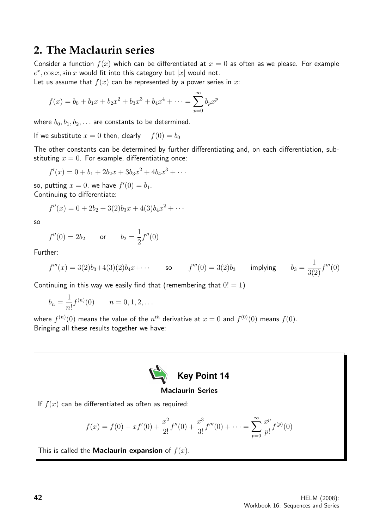# **2. The Maclaurin series**

Consider a function  $f(x)$  which can be differentiated at  $x = 0$  as often as we please. For example  $e^x$ ,  $\cos x$ ,  $\sin x$  would fit into this category but  $|x|$  would not.

Let us assume that  $f(x)$  can be represented by a power series in x:

$$
f(x) = b_0 + b_1 x + b_2 x^2 + b_3 x^3 + b_4 x^4 + \dots = \sum_{p=0}^{\infty} b_p x^p
$$

where  $b_0, b_1, b_2, \ldots$  are constants to be determined.

If we substitute  $x = 0$  then, clearly  $f(0) = b_0$ 

The other constants can be determined by further differentiating and, on each differentiation, substituting  $x = 0$ . For example, differentiating once:

$$
f'(x) = 0 + b_1 + 2b_2x + 3b_3x^2 + 4b_4x^3 + \cdots
$$

so, putting  $x = 0$ , we have  $f'(0) = b_1$ . Continuing to differentiate:

$$
f''(x) = 0 + 2b_2 + 3(2)b_3x + 4(3)b_4x^2 + \cdots
$$

so

$$
f''(0) = 2b_2
$$
 or  $b_2 = \frac{1}{2}f''(0)$ 

Further:

$$
f'''(x) = 3(2)b_3 + 4(3)(2)b_4x + \cdots
$$
 so  $f'''(0) = 3(2)b_3$  implying  $b_3 = \frac{1}{3(2)}f'''(0)$ 

Continuing in this way we easily find that (remembering that  $0! = 1$ )

$$
b_n = \frac{1}{n!} f^{(n)}(0) \qquad n = 0, 1, 2, \dots
$$

where  $f^{(n)}(0)$  means the value of the  $n^{th}$  derivative at  $x=0$  and  $f^{(0)}(0)$  means  $f(0).$ Bringing all these results together we have:



### Maclaurin Series

If  $f(x)$  can be differentiated as often as required:

$$
f(x) = f(0) + xf'(0) + \frac{x^2}{2!}f''(0) + \frac{x^3}{3!}f'''(0) + \dots = \sum_{p=0}^{\infty} \frac{x^p}{p!}f^{(p)}(0)
$$

This is called the **Maclaurin expansion** of  $f(x)$ .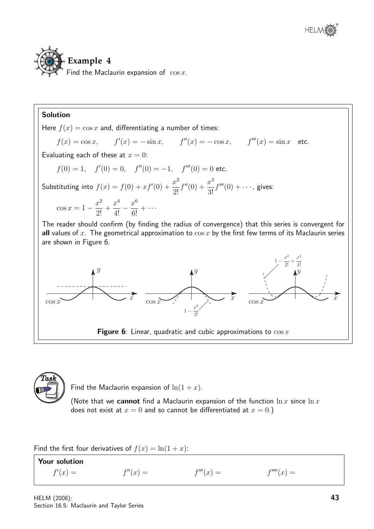

### Solution

Here  $f(x) = \cos x$  and, differentiating a number of times:

 $f(x) = \cos x,$   $f'(x) = -\sin x,$   $f''(x) = -\cos x,$   $f'''(x) = \sin x$  etc.

Evaluating each of these at  $x = 0$ :

$$
f(0) = 1
$$
,  $f'(0) = 0$ ,  $f''(0) = -1$ ,  $f'''(0) = 0$  etc.

Substituting into  $f(x) = f(0) + xf'(0) + \frac{x^2}{2!}$  $\frac{x}{2!}$ f  $^{\prime\prime}(0) + \frac{x^3}{2!}$  $\frac{x}{3!}f'''(0) + \cdots$ , gives:  $\cos x = 1 - \frac{x^2}{2!}$  $\frac{1}{2!}$  +  $x^4$  $rac{x^4}{4!} - \frac{x^6}{6!}$  $\frac{x}{6!} + \cdots$ 

The reader should confirm (by finding the radius of convergence) that this series is convergent for all values of  $x$ . The geometrical approximation to  $\cos x$  by the first few terms of its Maclaurin series are shown in Figure 6.





Find the Maclaurin expansion of  $\ln(1+x)$ .

(Note that we cannot find a Maclaurin expansion of the function  $\ln x$  since  $\ln x$ does not exist at  $x = 0$  and so cannot be differentiated at  $x = 0$ .)

Find the first four derivatives of  $f(x) = \ln(1+x)$ :

Your solution  $f'(x) = f(x)$  $f''(x) =$  $f'''(x) =$  $f'''(x) =$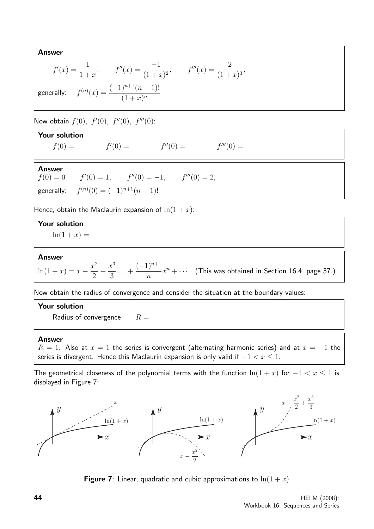Answer

$$
f'(x) = \frac{1}{1+x}, \qquad f''(x) = \frac{-1}{(1+x)^2}, \qquad f'''(x) = \frac{2}{(1+x)^3},
$$
  
generally: 
$$
f^{(n)}(x) = \frac{(-1)^{n+1}(n-1)!}{(1+x)^n}
$$

Now obtain  $f(0), f'(0), f''(0), f'''(0)$ :

| <b>Your solution</b> |                                                           |            |             |  |  |  |  |
|----------------------|-----------------------------------------------------------|------------|-------------|--|--|--|--|
| $f(0) =$             | $f'(0) =$                                                 | $f''(0) =$ | $f'''(0) =$ |  |  |  |  |
| <b>Answer</b>        | $f'(0) = 0$ $f'(0) = 1$ , $f''(0) = -1$ , $f'''(0) = 2$ , |            |             |  |  |  |  |
|                      | generally: $f^{(n)}(0) = (-1)^{n+1}(n-1)!$                |            |             |  |  |  |  |

Hence, obtain the Maclaurin expansion of  $\ln(1+x)$ :

### Your solution  $ln(1 + x) =$

### Answer

 $\ln(1+x) = x - \frac{x^2}{2}$ 2  $+$  $x^3$ 3  $\dots +$  $(-1)^{n+1}$ n  $x^n + \cdots$  (This was obtained in Section 16.4, page 37.)

Now obtain the radius of convergence and consider the situation at the boundary values:

Your solution Radius of convergence  $R =$ 

### Answer

 $R = 1$ . Also at  $x = 1$  the series is convergent (alternating harmonic series) and at  $x = -1$  the series is divergent. Hence this Maclaurin expansion is only valid if  $-1 < x \leq 1$ .

The geometrical closeness of the polynomial terms with the function  $\ln(1 + x)$  for  $-1 < x \le 1$  is displayed in Figure 7:



**Figure 7**: Linear, quadratic and cubic approximations to  $\ln(1+x)$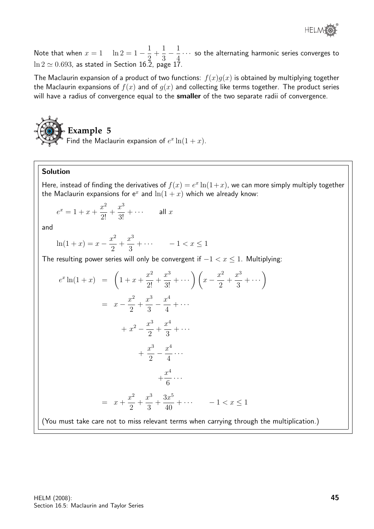

Note that when  $x = 1$  ln  $2 = 1 - \frac{1}{2}$ 2  $+$ 1 3  $-\frac{1}{4}$ 4  $\cdots$  so the alternating harmonic series converges to  $\ln 2 \simeq 0.693$ , as stated in Section 16.2, page 17.

The Maclaurin expansion of a product of two functions:  $f(x)g(x)$  is obtained by multiplying together the Maclaurin expansions of  $f(x)$  and of  $g(x)$  and collecting like terms together. The product series will have a radius of convergence equal to the **smaller** of the two separate radii of convergence.



Find the Maclaurin expansion of  $e^x \ln(1+x)$ .

### Solution

Here, instead of finding the derivatives of  $f(x) = e^x \ln(1+x)$ , we can more simply multiply together the Maclaurin expansions for  $e^x$  and  $ln(1 + x)$  which we already know:

$$
e^x = 1 + x + \frac{x^2}{2!} + \frac{x^3}{3!} + \cdots \qquad \text{all } x
$$

and

$$
\ln(1+x) = x - \frac{x^2}{2} + \frac{x^3}{3} + \dotsb - 1 < x \le 1
$$

The resulting power series will only be convergent if  $-1 < x \le 1$ . Multiplying:

$$
e^{x} \ln(1+x) = \left(1 + x + \frac{x^{2}}{2!} + \frac{x^{3}}{3!} + \cdots \right) \left(x - \frac{x^{2}}{2} + \frac{x^{3}}{3} + \cdots \right)
$$
  

$$
= x - \frac{x^{2}}{2} + \frac{x^{3}}{3} - \frac{x^{4}}{4} + \cdots
$$

$$
+ x^{2} - \frac{x^{3}}{2} + \frac{x^{4}}{3} + \cdots
$$

$$
+ \frac{x^{3}}{2} - \frac{x^{4}}{4} + \cdots
$$

$$
+ \frac{x^{4}}{6} + \cdots
$$

$$
= x + \frac{x^{2}}{2} + \frac{x^{3}}{3} + \frac{3x^{5}}{40} + \cdots \qquad -1 < x \le 1
$$

(You must take care not to miss relevant terms when carrying through the multiplication.)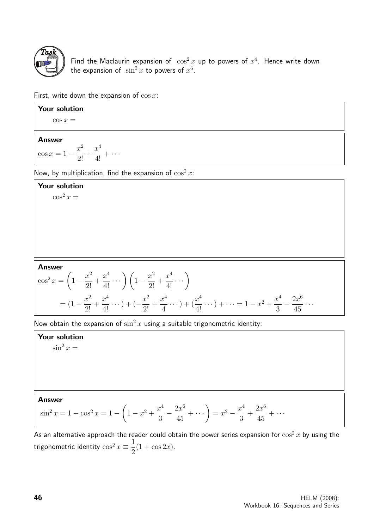

Find the Maclaurin expansion of  $\cos^2 x$  up to powers of  $x^4$ . Hence write down the expansion of  $\sin^2 x$  to powers of  $x^6$ .

First, write down the expansion of  $\cos x$ :

| Your solution                                                |  |  |  |  |
|--------------------------------------------------------------|--|--|--|--|
| $\cos x =$                                                   |  |  |  |  |
| <b>Answer</b>                                                |  |  |  |  |
| $x^4$<br>$\sim$<br>J<br>$\cos x = 1$<br>$\cdots$<br>$\Omega$ |  |  |  |  |

Now, by multiplication, find the expansion of  $\cos^2 x$ :

### Your solution

 $\cos^2 x =$ 

### Answer

$$
\cos^2 x = \left(1 - \frac{x^2}{2!} + \frac{x^4}{4!} \cdots \right) \left(1 - \frac{x^2}{2!} + \frac{x^4}{4!} \cdots \right)
$$
  
=  $(1 - \frac{x^2}{2!} + \frac{x^4}{4!} \cdots) + (-\frac{x^2}{2!} + \frac{x^4}{4} \cdots) + (\frac{x^4}{4!} \cdots) + \cdots = 1 - x^2 + \frac{x^4}{3} - \frac{2x^6}{45} \cdots$ 

Now obtain the expansion of  $\sin^2 x$  using a suitable trigonometric identity:

### Your solution

 $\sin^2 x =$ 

### Answer

$$
\sin^2 x = 1 - \cos^2 x = 1 - \left(1 - x^2 + \frac{x^4}{3} - \frac{2x^6}{45} + \dotsb\right) = x^2 - \frac{x^4}{3} + \frac{2x^6}{45} + \dotsb
$$

As an alternative approach the reader could obtain the power series expansion for  $\cos^2 x$  by using the trigonometric identity  $\cos^2 x \equiv \frac{1}{2}$ 2  $(1 + \cos 2x).$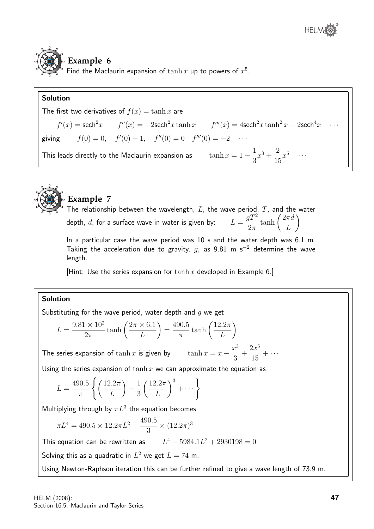# **Example 6** Find the Maclaurin expansion of  $\tanh x$  up to powers of  $x^5$ .

### Solution





# **Example 7**

The relationship between the wavelength,  $L$ , the wave period,  $T$ , and the water depth,  $d$ , for a surface wave in water is given by:  $L =$  $gT^2$  $2\pi$  $\tanh\left(\frac{2\pi d}{I}\right)$ L  $\setminus$ 

In a particular case the wave period was 10 s and the water depth was 6.1 m. Taking the acceleration due to gravity, q, as 9.81 m s<sup>-2</sup> determine the wave length.

3

15

[Hint: Use the series expansion for  $\tanh x$  developed in Example 6.]

### Solution

Substituting for the wave period, water depth and  $q$  we get

$$
L = \frac{9.81 \times 10^2}{2\pi} \tanh\left(\frac{2\pi \times 6.1}{L}\right) = \frac{490.5}{\pi} \tanh\left(\frac{12.2\pi}{L}\right)
$$
  
le series expansion of  $\tanh x$  is given by  $\tanh x = x - \frac{x^3}{2} + \frac{2x^5}{15} + \cdots$ 

The series expansion of  $\tanh x$  is given by  $\tanh x =$ 

Using the series expansion of  $\tanh x$  we can approximate the equation as

$$
L = \frac{490.5}{\pi} \left\{ \left( \frac{12.2\pi}{L} \right) - \frac{1}{3} \left( \frac{12.2\pi}{L} \right)^3 + \dots \right\}
$$

Multiplying through by  $\pi L^3$  the equation becomes

$$
\pi L^4 = 490.5 \times 12.2 \pi L^2 - \frac{490.5}{3} \times (12.2 \pi)^3
$$

This equation can be rewritten as  $L^4 - 5984.1L^2 + 2930198 = 0$ 

Solving this as a quadratic in  $L^2$  we get  $L = 74$  m.

Using Newton-Raphson iteration this can be further refined to give a wave length of 73.9 m.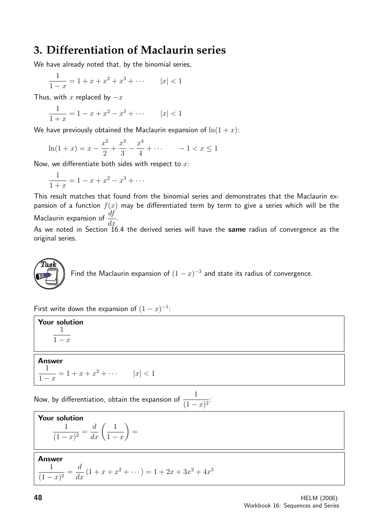# **3. Differentiation of Maclaurin series**

We have already noted that, by the binomial series,

$$
\frac{1}{1-x} = 1 + x + x^2 + x^3 + \dots \qquad |x| < 1
$$

Thus, with x replaced by  $-x$ 

$$
\frac{1}{1+x} = 1 - x + x^2 - x^3 + \dots \qquad |x| < 1
$$

We have previously obtained the Maclaurin expansion of  $\ln(1+x)$ :

$$
\ln(1+x) = x - \frac{x^2}{2} + \frac{x^3}{3} - \frac{x^4}{4} + \dotsb - 1 < x \le 1
$$

Now, we differentiate both sides with respect to  $x$ :

$$
\frac{1}{1+x} = 1 - x + x^2 - x^3 + \dots
$$

This result matches that found from the binomial series and demonstrates that the Maclaurin expansion of a function  $f(x)$  may be differentiated term by term to give a series which will be the Maclaurin expansion of  $\frac{df}{dx}$  $rac{dy}{dx}$ .

As we noted in Section  $\tilde{16.4}$  the derived series will have the same radius of convergence as the original series.

**Task**  
Find the Maclaurin expansion of 
$$
(1 - x)^{-3}
$$
 and state its radius of convergence.

First write down the expansion of  $(1-x)^{-1}$ :

Your solution 1  $\overline{1-x}$ 

### Answer

$$
\frac{1}{1-x} = 1 + x + x^2 + \dots \qquad |x| < 1
$$

Now, by differentiation, obtain the expansion of  $\frac{1}{11}$  $\frac{1}{(1-x)^2}$ 

**Your solution**  

$$
\frac{1}{(1-x)^2} = \frac{d}{dx} \left(\frac{1}{1-x}\right) =
$$

**Answer** 

$$
\frac{1}{(1-x)^2} = \frac{d}{dx} (1+x+x^2+\cdots) = 1+2x+3x^2+4x^3
$$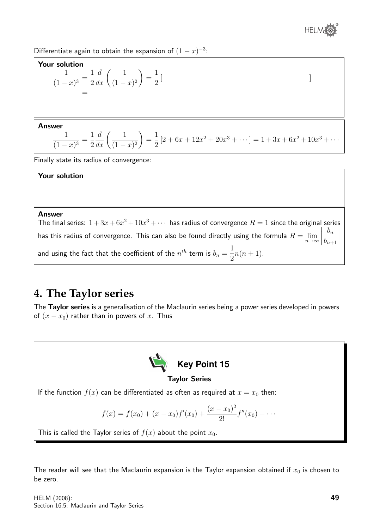

Differentiate again to obtain the expansion of  $(1-x)^{-3}$ :

### Your solution

$$
\frac{1}{(1-x)^3} = \frac{1}{2}\frac{d}{dx}\left(\frac{1}{(1-x)^2}\right) = \frac{1}{2}\left[
$$

### Answer

$$
\frac{1}{(1-x)^3} = \frac{1}{2}\frac{d}{dx}\left(\frac{1}{(1-x)^2}\right) = \frac{1}{2}\left[2 + 6x + 12x^2 + 20x^3 + \dots\right] = 1 + 3x + 6x^2 + 10x^3 + \dots
$$

Finally state its radius of convergence:

### Your solution

### Answer

The final series:  $1 + 3x + 6x^2 + 10x^3 + \cdots$  has radius of convergence  $R = 1$  since the original series has this radius of convergence. This can also be found directly using the formula  $R=\lim\limits_{n\to\infty}$  $\begin{array}{c} \begin{array}{c} \begin{array}{c} \end{array} \\ \begin{array}{c} \end{array} \end{array} \end{array}$  $b_n$  $b_{n+1}$  $\overline{\phantom{a}}$  $\overline{\phantom{a}}$  $\bigg\}$  $\overline{\phantom{a}}$ and using the fact that the coefficient of the  $n^{th}$  term is  $b_n=\frac{1}{2}$ 2  $n(n+1)$ .

# **4. The Taylor series**

The Taylor series is a generalisation of the Maclaurin series being a power series developed in powers of  $(x - x_0)$  rather than in powers of x. Thus



The reader will see that the Maclaurin expansion is the Taylor expansion obtained if  $x_0$  is chosen to be zero.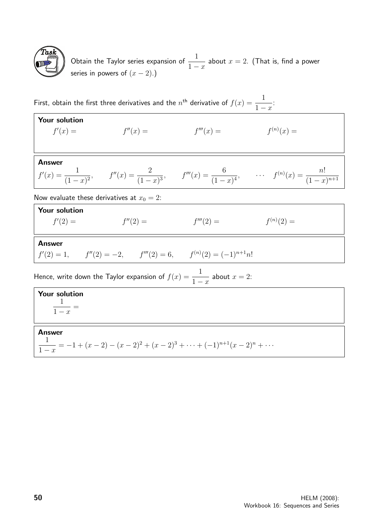

Obtain the Taylor series expansion of  $\frac{1}{1}$  $1 - x$ about  $x = 2$ . (That is, find a power series in powers of  $(x-2)$ .)

First, obtain the first three derivatives and the  $n^{\text{th}}$  derivative of  $f(x) = \frac{1}{1-x^{\text{th}}}$  $1 - x$ :

| Your solution<br>$f'(x) =$                                                       | $f''(x) =$                                                             | $f'''(x) =$ | $f^{(n)}(x) =$                                                                                                                     |  |  |  |
|----------------------------------------------------------------------------------|------------------------------------------------------------------------|-------------|------------------------------------------------------------------------------------------------------------------------------------|--|--|--|
|                                                                                  |                                                                        |             |                                                                                                                                    |  |  |  |
| <b>Answer</b>                                                                    |                                                                        |             | $f'(x) = \frac{1}{(1-x)^2}$ , $f''(x) = \frac{2}{(1-x)^3}$ , $f'''(x) = \frac{6}{(1-x)^4}$ , $f^{(n)}(x) = \frac{n!}{(1-x)^{n+1}}$ |  |  |  |
| Now evaluate these derivatives at $x_0 = 2$ :                                    |                                                                        |             |                                                                                                                                    |  |  |  |
| Your solution<br>$f'(2) =$                                                       | $f''(2) =$                                                             | $f'''(2) =$ | $f^{(n)}(2) =$                                                                                                                     |  |  |  |
| <b>Answer</b>                                                                    | $f'(2) = 1,$ $f''(2) = -2,$ $f'''(2) = 6,$ $f^{(n)}(2) = (-1)^{n+1}n!$ |             |                                                                                                                                    |  |  |  |
| Hence, write down the Taylor expansion of $f(x) = \frac{1}{1-x}$ about $x = 2$ . |                                                                        |             |                                                                                                                                    |  |  |  |
| Your solution<br>$\frac{1}{1-x} =$                                               |                                                                        |             |                                                                                                                                    |  |  |  |
| <b>Answer</b>                                                                    |                                                                        |             |                                                                                                                                    |  |  |  |

1  $1 - x$  $= -1 + (x - 2) - (x - 2)^{2} + (x - 2)^{3} + \cdots + (-1)^{n+1}(x - 2)^{n} + \cdots$